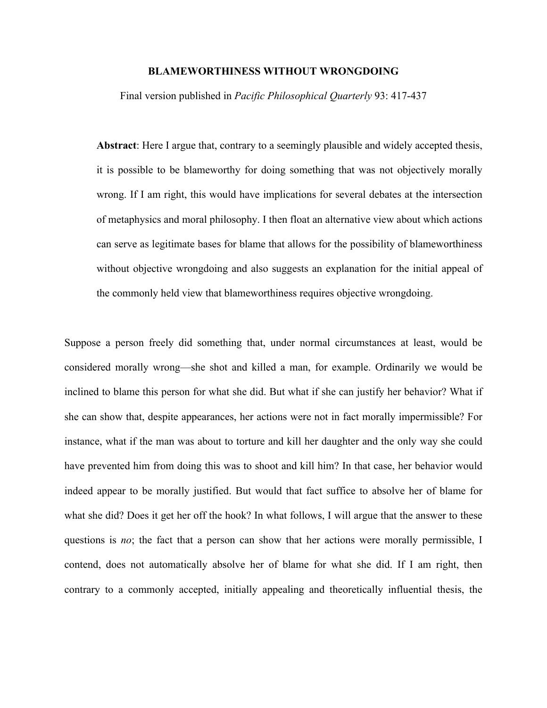#### **BLAMEWORTHINESS WITHOUT WRONGDOING**

Final version published in *Pacific Philosophical Quarterly* 93: 417-437

**Abstract**: Here I argue that, contrary to a seemingly plausible and widely accepted thesis, it is possible to be blameworthy for doing something that was not objectively morally wrong. If I am right, this would have implications for several debates at the intersection of metaphysics and moral philosophy. I then float an alternative view about which actions can serve as legitimate bases for blame that allows for the possibility of blameworthiness without objective wrongdoing and also suggests an explanation for the initial appeal of the commonly held view that blameworthiness requires objective wrongdoing.

Suppose a person freely did something that, under normal circumstances at least, would be considered morally wrong—she shot and killed a man, for example. Ordinarily we would be inclined to blame this person for what she did. But what if she can justify her behavior? What if she can show that, despite appearances, her actions were not in fact morally impermissible? For instance, what if the man was about to torture and kill her daughter and the only way she could have prevented him from doing this was to shoot and kill him? In that case, her behavior would indeed appear to be morally justified. But would that fact suffice to absolve her of blame for what she did? Does it get her off the hook? In what follows, I will argue that the answer to these questions is *no*; the fact that a person can show that her actions were morally permissible, I contend, does not automatically absolve her of blame for what she did. If I am right, then contrary to a commonly accepted, initially appealing and theoretically influential thesis, the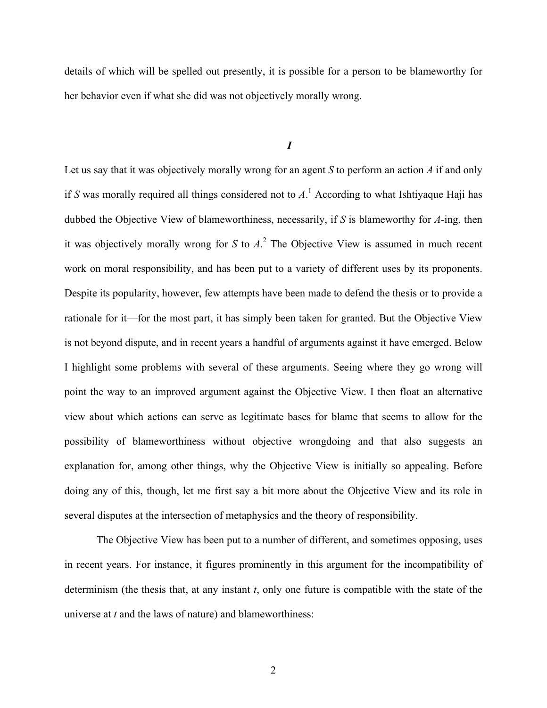details of which will be spelled out presently, it is possible for a person to be blameworthy for her behavior even if what she did was not objectively morally wrong.

# *I*

Let us say that it was objectively morally wrong for an agent *S* to perform an action *A* if and only if *S* was morally required all things considered not to *A*. <sup>1</sup> According to what Ishtiyaque Haji has dubbed the Objective View of blameworthiness, necessarily, if *S* is blameworthy for *A*-ing, then it was objectively morally wrong for *S* to  $A$ <sup>2</sup>. The Objective View is assumed in much recent work on moral responsibility, and has been put to a variety of different uses by its proponents. Despite its popularity, however, few attempts have been made to defend the thesis or to provide a rationale for it—for the most part, it has simply been taken for granted. But the Objective View is not beyond dispute, and in recent years a handful of arguments against it have emerged. Below I highlight some problems with several of these arguments. Seeing where they go wrong will point the way to an improved argument against the Objective View. I then float an alternative view about which actions can serve as legitimate bases for blame that seems to allow for the possibility of blameworthiness without objective wrongdoing and that also suggests an explanation for, among other things, why the Objective View is initially so appealing. Before doing any of this, though, let me first say a bit more about the Objective View and its role in several disputes at the intersection of metaphysics and the theory of responsibility.

The Objective View has been put to a number of different, and sometimes opposing, uses in recent years. For instance, it figures prominently in this argument for the incompatibility of determinism (the thesis that, at any instant *t*, only one future is compatible with the state of the universe at *t* and the laws of nature) and blameworthiness: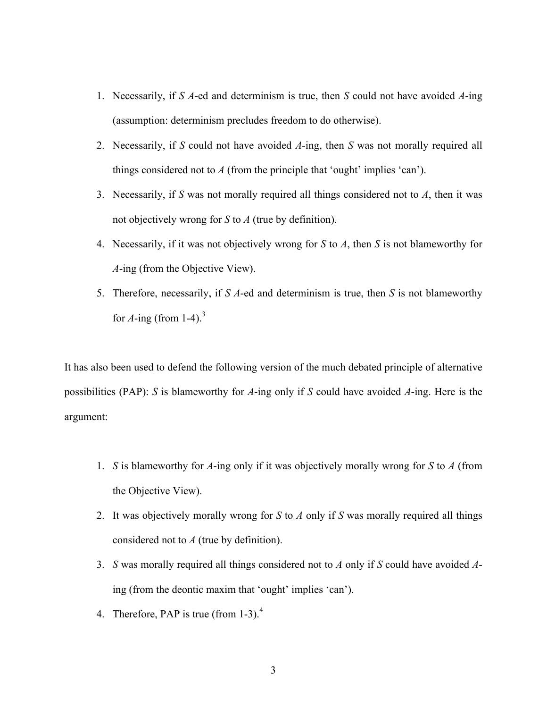- 1. Necessarily, if *S A*-ed and determinism is true, then *S* could not have avoided *A*-ing (assumption: determinism precludes freedom to do otherwise).
- 2. Necessarily, if *S* could not have avoided *A*-ing, then *S* was not morally required all things considered not to *A* (from the principle that 'ought' implies 'can').
- 3. Necessarily, if *S* was not morally required all things considered not to *A*, then it was not objectively wrong for *S* to *A* (true by definition).
- 4. Necessarily, if it was not objectively wrong for *S* to *A*, then *S* is not blameworthy for *A*-ing (from the Objective View).
- 5. Therefore, necessarily, if *S A*-ed and determinism is true, then *S* is not blameworthy for  $A$ -ing (from 1-4).<sup>3</sup>

It has also been used to defend the following version of the much debated principle of alternative possibilities (PAP): *S* is blameworthy for *A*-ing only if *S* could have avoided *A*-ing. Here is the argument:

- 1. *S* is blameworthy for *A*-ing only if it was objectively morally wrong for *S* to *A* (from the Objective View).
- 2. It was objectively morally wrong for *S* to *A* only if *S* was morally required all things considered not to *A* (true by definition).
- 3. *S* was morally required all things considered not to *A* only if *S* could have avoided *A*ing (from the deontic maxim that 'ought' implies 'can').
- 4. Therefore, PAP is true (from  $1-3$ ).<sup>4</sup>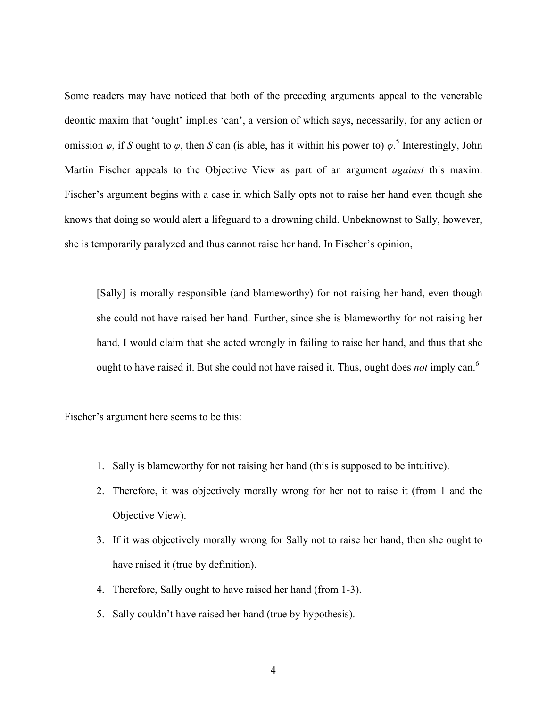Some readers may have noticed that both of the preceding arguments appeal to the venerable deontic maxim that 'ought' implies 'can', a version of which says, necessarily, for any action or omission  $\varphi$ , if *S* ought to  $\varphi$ , then *S* can (is able, has it within his power to)  $\varphi$ <sup>5</sup>. Interestingly, John Martin Fischer appeals to the Objective View as part of an argument *against* this maxim. Fischer's argument begins with a case in which Sally opts not to raise her hand even though she knows that doing so would alert a lifeguard to a drowning child. Unbeknownst to Sally, however, she is temporarily paralyzed and thus cannot raise her hand. In Fischer's opinion,

[Sally] is morally responsible (and blameworthy) for not raising her hand, even though she could not have raised her hand. Further, since she is blameworthy for not raising her hand, I would claim that she acted wrongly in failing to raise her hand, and thus that she ought to have raised it. But she could not have raised it. Thus, ought does *not* imply can.<sup>6</sup>

Fischer's argument here seems to be this:

- 1. Sally is blameworthy for not raising her hand (this is supposed to be intuitive).
- 2. Therefore, it was objectively morally wrong for her not to raise it (from 1 and the Objective View).
- 3. If it was objectively morally wrong for Sally not to raise her hand, then she ought to have raised it (true by definition).
- 4. Therefore, Sally ought to have raised her hand (from 1-3).
- 5. Sally couldn't have raised her hand (true by hypothesis).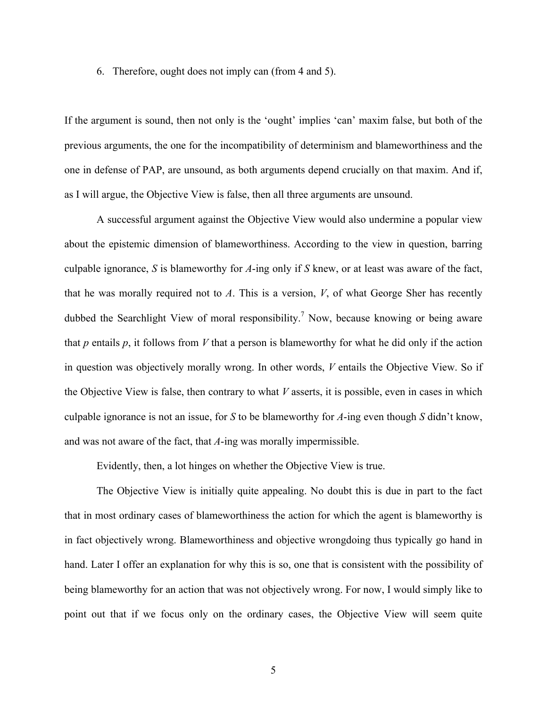6. Therefore, ought does not imply can (from 4 and 5).

If the argument is sound, then not only is the 'ought' implies 'can' maxim false, but both of the previous arguments, the one for the incompatibility of determinism and blameworthiness and the one in defense of PAP, are unsound, as both arguments depend crucially on that maxim. And if, as I will argue, the Objective View is false, then all three arguments are unsound.

A successful argument against the Objective View would also undermine a popular view about the epistemic dimension of blameworthiness. According to the view in question, barring culpable ignorance, *S* is blameworthy for *A*-ing only if *S* knew, or at least was aware of the fact, that he was morally required not to *A*. This is a version, *V*, of what George Sher has recently dubbed the Searchlight View of moral responsibility.<sup>7</sup> Now, because knowing or being aware that  $p$  entails  $p$ , it follows from  $V$  that a person is blameworthy for what he did only if the action in question was objectively morally wrong. In other words, *V* entails the Objective View. So if the Objective View is false, then contrary to what *V* asserts, it is possible, even in cases in which culpable ignorance is not an issue, for *S* to be blameworthy for *A*-ing even though *S* didn't know, and was not aware of the fact, that *A*-ing was morally impermissible.

Evidently, then, a lot hinges on whether the Objective View is true.

The Objective View is initially quite appealing. No doubt this is due in part to the fact that in most ordinary cases of blameworthiness the action for which the agent is blameworthy is in fact objectively wrong. Blameworthiness and objective wrongdoing thus typically go hand in hand. Later I offer an explanation for why this is so, one that is consistent with the possibility of being blameworthy for an action that was not objectively wrong. For now, I would simply like to point out that if we focus only on the ordinary cases, the Objective View will seem quite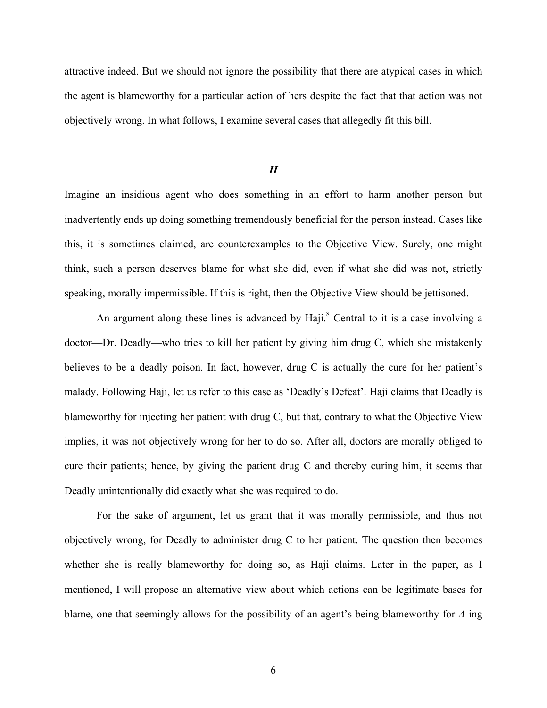attractive indeed. But we should not ignore the possibility that there are atypical cases in which the agent is blameworthy for a particular action of hers despite the fact that that action was not objectively wrong. In what follows, I examine several cases that allegedly fit this bill.

## *II*

Imagine an insidious agent who does something in an effort to harm another person but inadvertently ends up doing something tremendously beneficial for the person instead. Cases like this, it is sometimes claimed, are counterexamples to the Objective View. Surely, one might think, such a person deserves blame for what she did, even if what she did was not, strictly speaking, morally impermissible. If this is right, then the Objective View should be jettisoned.

An argument along these lines is advanced by Haji.<sup>8</sup> Central to it is a case involving a doctor—Dr. Deadly—who tries to kill her patient by giving him drug C, which she mistakenly believes to be a deadly poison. In fact, however, drug C is actually the cure for her patient's malady. Following Haji, let us refer to this case as 'Deadly's Defeat'. Haji claims that Deadly is blameworthy for injecting her patient with drug C, but that, contrary to what the Objective View implies, it was not objectively wrong for her to do so. After all, doctors are morally obliged to cure their patients; hence, by giving the patient drug C and thereby curing him, it seems that Deadly unintentionally did exactly what she was required to do.

For the sake of argument, let us grant that it was morally permissible, and thus not objectively wrong, for Deadly to administer drug C to her patient. The question then becomes whether she is really blameworthy for doing so, as Haji claims. Later in the paper, as I mentioned, I will propose an alternative view about which actions can be legitimate bases for blame, one that seemingly allows for the possibility of an agent's being blameworthy for *A*-ing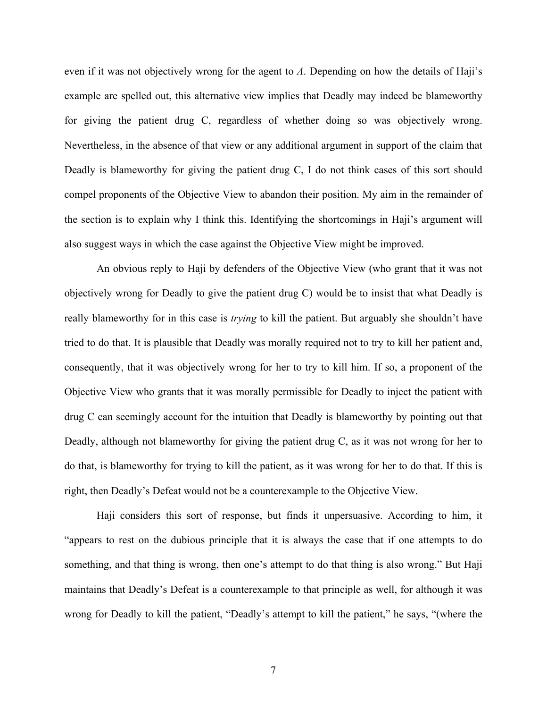even if it was not objectively wrong for the agent to *A*. Depending on how the details of Haji's example are spelled out, this alternative view implies that Deadly may indeed be blameworthy for giving the patient drug C, regardless of whether doing so was objectively wrong. Nevertheless, in the absence of that view or any additional argument in support of the claim that Deadly is blameworthy for giving the patient drug C, I do not think cases of this sort should compel proponents of the Objective View to abandon their position. My aim in the remainder of the section is to explain why I think this. Identifying the shortcomings in Haji's argument will also suggest ways in which the case against the Objective View might be improved.

An obvious reply to Haji by defenders of the Objective View (who grant that it was not objectively wrong for Deadly to give the patient drug C) would be to insist that what Deadly is really blameworthy for in this case is *trying* to kill the patient. But arguably she shouldn't have tried to do that. It is plausible that Deadly was morally required not to try to kill her patient and, consequently, that it was objectively wrong for her to try to kill him. If so, a proponent of the Objective View who grants that it was morally permissible for Deadly to inject the patient with drug C can seemingly account for the intuition that Deadly is blameworthy by pointing out that Deadly, although not blameworthy for giving the patient drug C, as it was not wrong for her to do that, is blameworthy for trying to kill the patient, as it was wrong for her to do that. If this is right, then Deadly's Defeat would not be a counterexample to the Objective View.

Haji considers this sort of response, but finds it unpersuasive. According to him, it "appears to rest on the dubious principle that it is always the case that if one attempts to do something, and that thing is wrong, then one's attempt to do that thing is also wrong." But Haji maintains that Deadly's Defeat is a counterexample to that principle as well, for although it was wrong for Deadly to kill the patient, "Deadly's attempt to kill the patient," he says, "(where the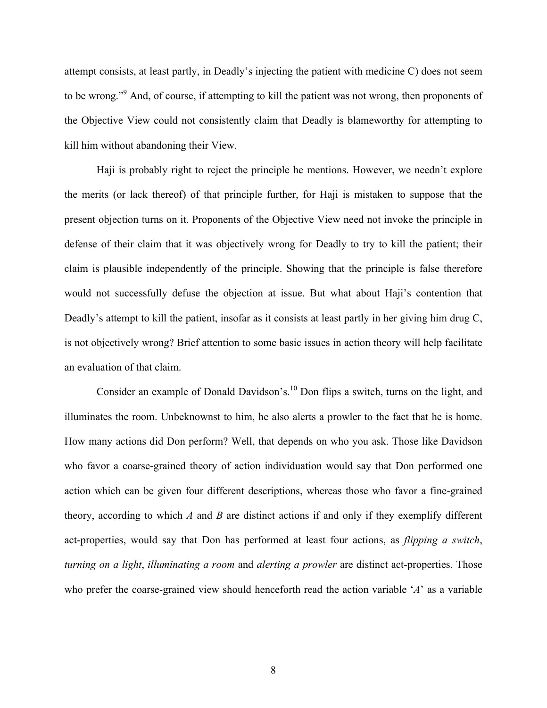attempt consists, at least partly, in Deadly's injecting the patient with medicine C) does not seem to be wrong."<sup>9</sup> And, of course, if attempting to kill the patient was not wrong, then proponents of the Objective View could not consistently claim that Deadly is blameworthy for attempting to kill him without abandoning their View.

Haji is probably right to reject the principle he mentions. However, we needn't explore the merits (or lack thereof) of that principle further, for Haji is mistaken to suppose that the present objection turns on it. Proponents of the Objective View need not invoke the principle in defense of their claim that it was objectively wrong for Deadly to try to kill the patient; their claim is plausible independently of the principle. Showing that the principle is false therefore would not successfully defuse the objection at issue. But what about Haji's contention that Deadly's attempt to kill the patient, insofar as it consists at least partly in her giving him drug C, is not objectively wrong? Brief attention to some basic issues in action theory will help facilitate an evaluation of that claim.

Consider an example of Donald Davidson's.<sup>10</sup> Don flips a switch, turns on the light, and illuminates the room. Unbeknownst to him, he also alerts a prowler to the fact that he is home. How many actions did Don perform? Well, that depends on who you ask. Those like Davidson who favor a coarse-grained theory of action individuation would say that Don performed one action which can be given four different descriptions, whereas those who favor a fine-grained theory, according to which *A* and *B* are distinct actions if and only if they exemplify different act-properties, would say that Don has performed at least four actions, as *flipping a switch*, *turning on a light*, *illuminating a room* and *alerting a prowler* are distinct act-properties. Those who prefer the coarse-grained view should henceforth read the action variable '*A*' as a variable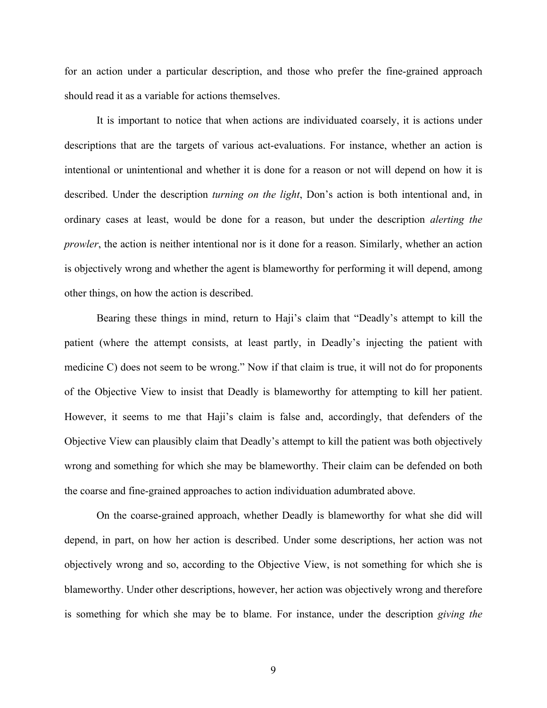for an action under a particular description, and those who prefer the fine-grained approach should read it as a variable for actions themselves.

It is important to notice that when actions are individuated coarsely, it is actions under descriptions that are the targets of various act-evaluations. For instance, whether an action is intentional or unintentional and whether it is done for a reason or not will depend on how it is described. Under the description *turning on the light*, Don's action is both intentional and, in ordinary cases at least, would be done for a reason, but under the description *alerting the prowler*, the action is neither intentional nor is it done for a reason. Similarly, whether an action is objectively wrong and whether the agent is blameworthy for performing it will depend, among other things, on how the action is described.

Bearing these things in mind, return to Haji's claim that "Deadly's attempt to kill the patient (where the attempt consists, at least partly, in Deadly's injecting the patient with medicine C) does not seem to be wrong." Now if that claim is true, it will not do for proponents of the Objective View to insist that Deadly is blameworthy for attempting to kill her patient. However, it seems to me that Haji's claim is false and, accordingly, that defenders of the Objective View can plausibly claim that Deadly's attempt to kill the patient was both objectively wrong and something for which she may be blameworthy. Their claim can be defended on both the coarse and fine-grained approaches to action individuation adumbrated above.

On the coarse-grained approach, whether Deadly is blameworthy for what she did will depend, in part, on how her action is described. Under some descriptions, her action was not objectively wrong and so, according to the Objective View, is not something for which she is blameworthy. Under other descriptions, however, her action was objectively wrong and therefore is something for which she may be to blame. For instance, under the description *giving the*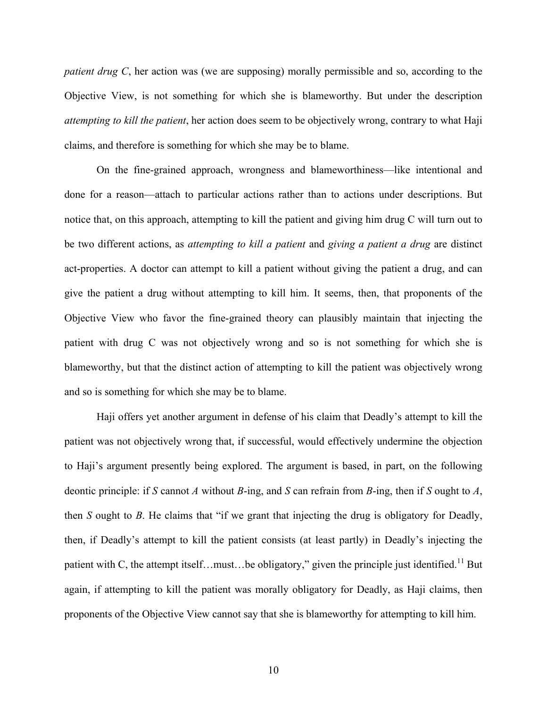*patient drug C*, her action was (we are supposing) morally permissible and so, according to the Objective View, is not something for which she is blameworthy. But under the description *attempting to kill the patient*, her action does seem to be objectively wrong, contrary to what Haji claims, and therefore is something for which she may be to blame.

On the fine-grained approach, wrongness and blameworthiness—like intentional and done for a reason—attach to particular actions rather than to actions under descriptions. But notice that, on this approach, attempting to kill the patient and giving him drug C will turn out to be two different actions, as *attempting to kill a patient* and *giving a patient a drug* are distinct act-properties. A doctor can attempt to kill a patient without giving the patient a drug, and can give the patient a drug without attempting to kill him. It seems, then, that proponents of the Objective View who favor the fine-grained theory can plausibly maintain that injecting the patient with drug C was not objectively wrong and so is not something for which she is blameworthy, but that the distinct action of attempting to kill the patient was objectively wrong and so is something for which she may be to blame.

Haji offers yet another argument in defense of his claim that Deadly's attempt to kill the patient was not objectively wrong that, if successful, would effectively undermine the objection to Haji's argument presently being explored. The argument is based, in part, on the following deontic principle: if *S* cannot *A* without *B*-ing, and *S* can refrain from *B*-ing, then if *S* ought to *A*, then *S* ought to *B*. He claims that "if we grant that injecting the drug is obligatory for Deadly, then, if Deadly's attempt to kill the patient consists (at least partly) in Deadly's injecting the patient with C, the attempt itself…must…be obligatory," given the principle just identified.<sup>11</sup> But again, if attempting to kill the patient was morally obligatory for Deadly, as Haji claims, then proponents of the Objective View cannot say that she is blameworthy for attempting to kill him.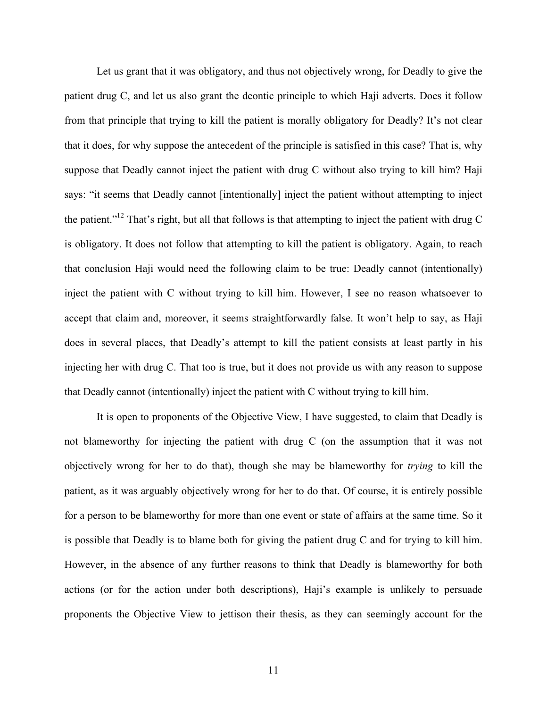Let us grant that it was obligatory, and thus not objectively wrong, for Deadly to give the patient drug C, and let us also grant the deontic principle to which Haji adverts. Does it follow from that principle that trying to kill the patient is morally obligatory for Deadly? It's not clear that it does, for why suppose the antecedent of the principle is satisfied in this case? That is, why suppose that Deadly cannot inject the patient with drug C without also trying to kill him? Haji says: "it seems that Deadly cannot [intentionally] inject the patient without attempting to inject the patient."12 That's right, but all that follows is that attempting to inject the patient with drug C is obligatory. It does not follow that attempting to kill the patient is obligatory. Again, to reach that conclusion Haji would need the following claim to be true: Deadly cannot (intentionally) inject the patient with C without trying to kill him. However, I see no reason whatsoever to accept that claim and, moreover, it seems straightforwardly false. It won't help to say, as Haji does in several places, that Deadly's attempt to kill the patient consists at least partly in his injecting her with drug C. That too is true, but it does not provide us with any reason to suppose that Deadly cannot (intentionally) inject the patient with C without trying to kill him.

It is open to proponents of the Objective View, I have suggested, to claim that Deadly is not blameworthy for injecting the patient with drug C (on the assumption that it was not objectively wrong for her to do that), though she may be blameworthy for *trying* to kill the patient, as it was arguably objectively wrong for her to do that. Of course, it is entirely possible for a person to be blameworthy for more than one event or state of affairs at the same time. So it is possible that Deadly is to blame both for giving the patient drug C and for trying to kill him. However, in the absence of any further reasons to think that Deadly is blameworthy for both actions (or for the action under both descriptions), Haji's example is unlikely to persuade proponents the Objective View to jettison their thesis, as they can seemingly account for the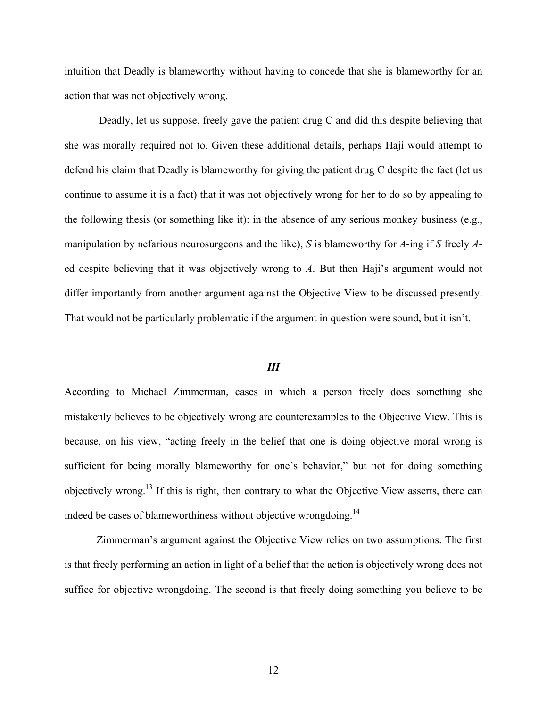intuition that Deadly is blameworthy without having to concede that she is blameworthy for an action that was not objectively wrong.

Deadly, let us suppose, freely gave the patient drug C and did this despite believing that she was morally required not to. Given these additional details, perhaps Haji would attempt to defend his claim that Deadly is blameworthy for giving the patient drug C despite the fact (let us continue to assume it is a fact) that it was not objectively wrong for her to do so by appealing to the following thesis (or something like it): in the absence of any serious monkey business (e.g., manipulation by nefarious neurosurgeons and the like), *S* is blameworthy for *A*-ing if *S* freely *A*ed despite believing that it was objectively wrong to *A*. But then Haji's argument would not differ importantly from another argument against the Objective View to be discussed presently. That would not be particularly problematic if the argument in question were sound, but it isn't.

#### *III*

According to Michael Zimmerman, cases in which a person freely does something she mistakenly believes to be objectively wrong are counterexamples to the Objective View. This is because, on his view, "acting freely in the belief that one is doing objective moral wrong is sufficient for being morally blameworthy for one's behavior," but not for doing something objectively wrong.13 If this is right, then contrary to what the Objective View asserts, there can indeed be cases of blameworthiness without objective wrongdoing.14

Zimmerman's argument against the Objective View relies on two assumptions. The first is that freely performing an action in light of a belief that the action is objectively wrong does not suffice for objective wrongdoing. The second is that freely doing something you believe to be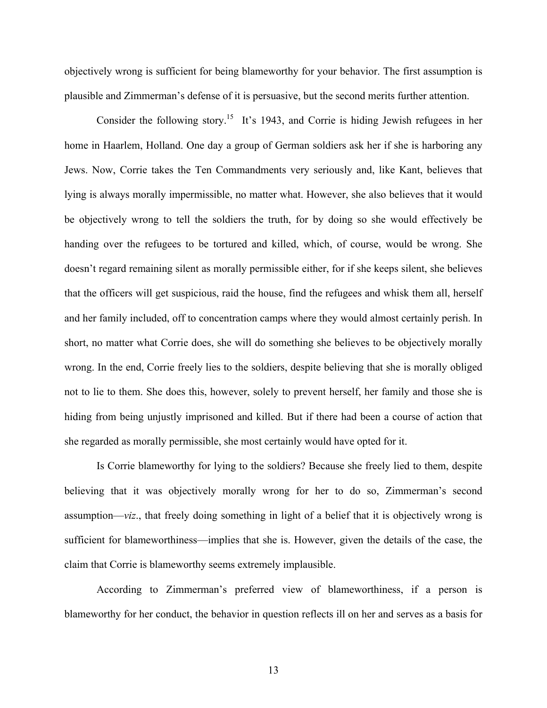objectively wrong is sufficient for being blameworthy for your behavior. The first assumption is plausible and Zimmerman's defense of it is persuasive, but the second merits further attention.

Consider the following story.<sup>15</sup> It's 1943, and Corrie is hiding Jewish refugees in her home in Haarlem, Holland. One day a group of German soldiers ask her if she is harboring any Jews. Now, Corrie takes the Ten Commandments very seriously and, like Kant, believes that lying is always morally impermissible, no matter what. However, she also believes that it would be objectively wrong to tell the soldiers the truth, for by doing so she would effectively be handing over the refugees to be tortured and killed, which, of course, would be wrong. She doesn't regard remaining silent as morally permissible either, for if she keeps silent, she believes that the officers will get suspicious, raid the house, find the refugees and whisk them all, herself and her family included, off to concentration camps where they would almost certainly perish. In short, no matter what Corrie does, she will do something she believes to be objectively morally wrong. In the end, Corrie freely lies to the soldiers, despite believing that she is morally obliged not to lie to them. She does this, however, solely to prevent herself, her family and those she is hiding from being unjustly imprisoned and killed. But if there had been a course of action that she regarded as morally permissible, she most certainly would have opted for it.

Is Corrie blameworthy for lying to the soldiers? Because she freely lied to them, despite believing that it was objectively morally wrong for her to do so, Zimmerman's second assumption—*viz*., that freely doing something in light of a belief that it is objectively wrong is sufficient for blameworthiness—implies that she is. However, given the details of the case, the claim that Corrie is blameworthy seems extremely implausible.

According to Zimmerman's preferred view of blameworthiness, if a person is blameworthy for her conduct, the behavior in question reflects ill on her and serves as a basis for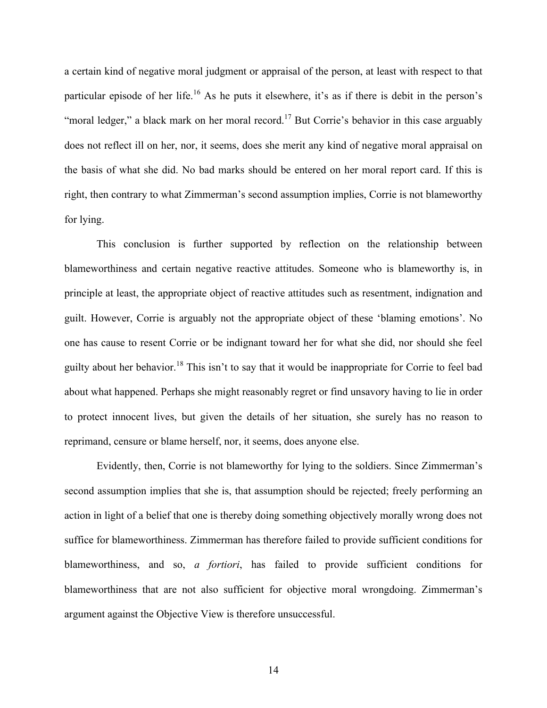a certain kind of negative moral judgment or appraisal of the person, at least with respect to that particular episode of her life.<sup>16</sup> As he puts it elsewhere, it's as if there is debit in the person's "moral ledger," a black mark on her moral record.<sup>17</sup> But Corrie's behavior in this case arguably does not reflect ill on her, nor, it seems, does she merit any kind of negative moral appraisal on the basis of what she did. No bad marks should be entered on her moral report card. If this is right, then contrary to what Zimmerman's second assumption implies, Corrie is not blameworthy for lying.

This conclusion is further supported by reflection on the relationship between blameworthiness and certain negative reactive attitudes. Someone who is blameworthy is, in principle at least, the appropriate object of reactive attitudes such as resentment, indignation and guilt. However, Corrie is arguably not the appropriate object of these 'blaming emotions'. No one has cause to resent Corrie or be indignant toward her for what she did, nor should she feel guilty about her behavior.<sup>18</sup> This isn't to say that it would be inappropriate for Corrie to feel bad about what happened. Perhaps she might reasonably regret or find unsavory having to lie in order to protect innocent lives, but given the details of her situation, she surely has no reason to reprimand, censure or blame herself, nor, it seems, does anyone else.

Evidently, then, Corrie is not blameworthy for lying to the soldiers. Since Zimmerman's second assumption implies that she is, that assumption should be rejected; freely performing an action in light of a belief that one is thereby doing something objectively morally wrong does not suffice for blameworthiness. Zimmerman has therefore failed to provide sufficient conditions for blameworthiness, and so, *a fortiori*, has failed to provide sufficient conditions for blameworthiness that are not also sufficient for objective moral wrongdoing. Zimmerman's argument against the Objective View is therefore unsuccessful.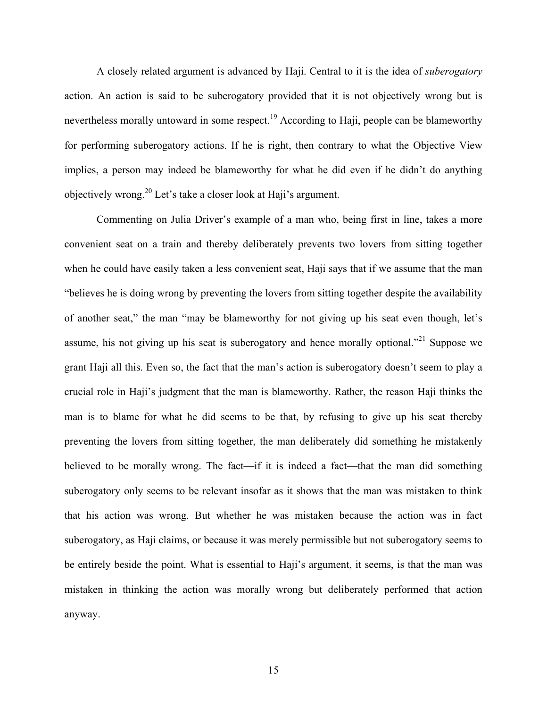A closely related argument is advanced by Haji. Central to it is the idea of *suberogatory* action. An action is said to be suberogatory provided that it is not objectively wrong but is nevertheless morally untoward in some respect.<sup>19</sup> According to Haji, people can be blameworthy for performing suberogatory actions. If he is right, then contrary to what the Objective View implies, a person may indeed be blameworthy for what he did even if he didn't do anything objectively wrong.<sup>20</sup> Let's take a closer look at Haji's argument.

Commenting on Julia Driver's example of a man who, being first in line, takes a more convenient seat on a train and thereby deliberately prevents two lovers from sitting together when he could have easily taken a less convenient seat, Haji says that if we assume that the man "believes he is doing wrong by preventing the lovers from sitting together despite the availability of another seat," the man "may be blameworthy for not giving up his seat even though, let's assume, his not giving up his seat is suberogatory and hence morally optional.<sup>221</sup> Suppose we grant Haji all this. Even so, the fact that the man's action is suberogatory doesn't seem to play a crucial role in Haji's judgment that the man is blameworthy. Rather, the reason Haji thinks the man is to blame for what he did seems to be that, by refusing to give up his seat thereby preventing the lovers from sitting together, the man deliberately did something he mistakenly believed to be morally wrong. The fact—if it is indeed a fact—that the man did something suberogatory only seems to be relevant insofar as it shows that the man was mistaken to think that his action was wrong. But whether he was mistaken because the action was in fact suberogatory, as Haji claims, or because it was merely permissible but not suberogatory seems to be entirely beside the point. What is essential to Haji's argument, it seems, is that the man was mistaken in thinking the action was morally wrong but deliberately performed that action anyway.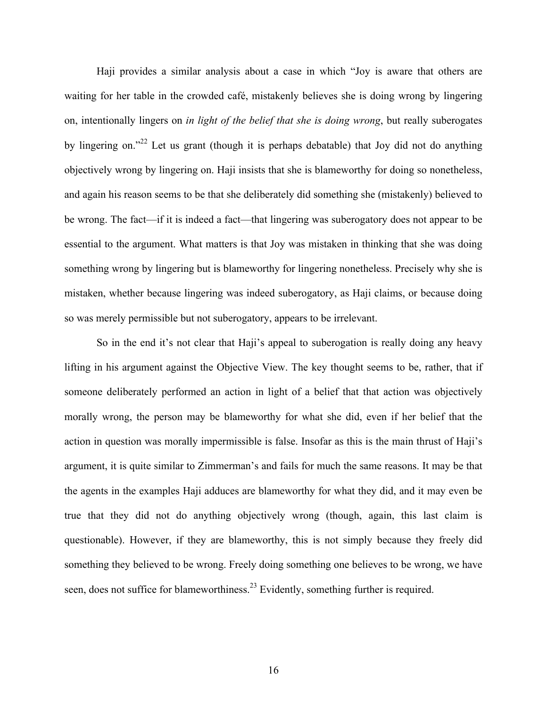Haji provides a similar analysis about a case in which "Joy is aware that others are waiting for her table in the crowded café, mistakenly believes she is doing wrong by lingering on, intentionally lingers on *in light of the belief that she is doing wrong*, but really suberogates by lingering on."<sup>22</sup> Let us grant (though it is perhaps debatable) that Joy did not do anything objectively wrong by lingering on. Haji insists that she is blameworthy for doing so nonetheless, and again his reason seems to be that she deliberately did something she (mistakenly) believed to be wrong. The fact—if it is indeed a fact—that lingering was suberogatory does not appear to be essential to the argument. What matters is that Joy was mistaken in thinking that she was doing something wrong by lingering but is blameworthy for lingering nonetheless. Precisely why she is mistaken, whether because lingering was indeed suberogatory, as Haji claims, or because doing so was merely permissible but not suberogatory, appears to be irrelevant.

So in the end it's not clear that Haji's appeal to suberogation is really doing any heavy lifting in his argument against the Objective View. The key thought seems to be, rather, that if someone deliberately performed an action in light of a belief that that action was objectively morally wrong, the person may be blameworthy for what she did, even if her belief that the action in question was morally impermissible is false. Insofar as this is the main thrust of Haji's argument, it is quite similar to Zimmerman's and fails for much the same reasons. It may be that the agents in the examples Haji adduces are blameworthy for what they did, and it may even be true that they did not do anything objectively wrong (though, again, this last claim is questionable). However, if they are blameworthy, this is not simply because they freely did something they believed to be wrong. Freely doing something one believes to be wrong, we have seen, does not suffice for blameworthiness.<sup>23</sup> Evidently, something further is required.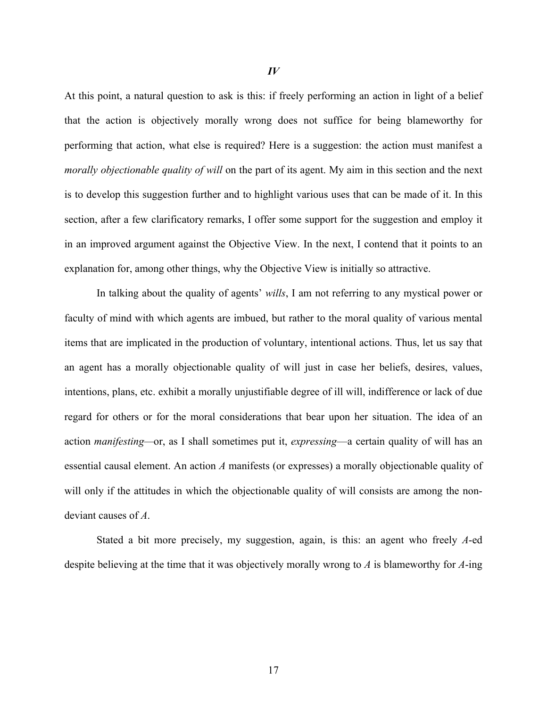At this point, a natural question to ask is this: if freely performing an action in light of a belief that the action is objectively morally wrong does not suffice for being blameworthy for performing that action, what else is required? Here is a suggestion: the action must manifest a *morally objectionable quality of will* on the part of its agent. My aim in this section and the next is to develop this suggestion further and to highlight various uses that can be made of it. In this section, after a few clarificatory remarks, I offer some support for the suggestion and employ it in an improved argument against the Objective View. In the next, I contend that it points to an explanation for, among other things, why the Objective View is initially so attractive.

In talking about the quality of agents' *wills*, I am not referring to any mystical power or faculty of mind with which agents are imbued, but rather to the moral quality of various mental items that are implicated in the production of voluntary, intentional actions. Thus, let us say that an agent has a morally objectionable quality of will just in case her beliefs, desires, values, intentions, plans, etc. exhibit a morally unjustifiable degree of ill will, indifference or lack of due regard for others or for the moral considerations that bear upon her situation. The idea of an action *manifesting—*or, as I shall sometimes put it, *expressing*—a certain quality of will has an essential causal element. An action *A* manifests (or expresses) a morally objectionable quality of will only if the attitudes in which the objectionable quality of will consists are among the nondeviant causes of *A*.

Stated a bit more precisely, my suggestion, again, is this: an agent who freely *A*-ed despite believing at the time that it was objectively morally wrong to *A* is blameworthy for *A*-ing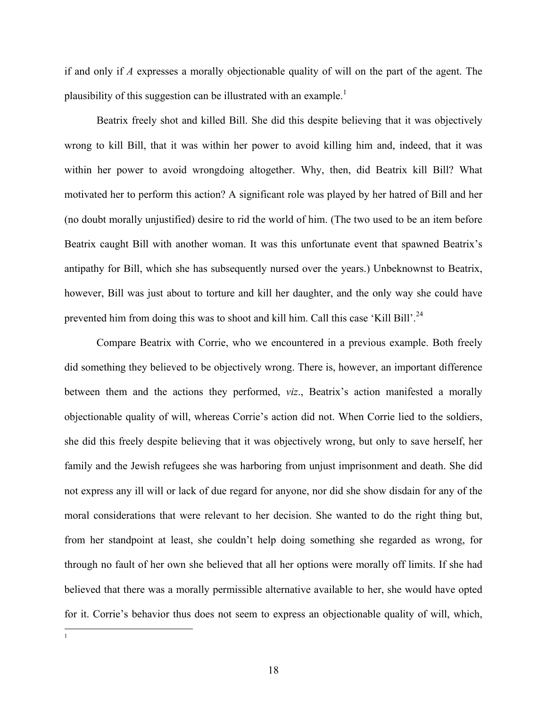if and only if *A* expresses a morally objectionable quality of will on the part of the agent. The plausibility of this suggestion can be illustrated with an example.<sup>1</sup>

Beatrix freely shot and killed Bill. She did this despite believing that it was objectively wrong to kill Bill, that it was within her power to avoid killing him and, indeed, that it was within her power to avoid wrongdoing altogether. Why, then, did Beatrix kill Bill? What motivated her to perform this action? A significant role was played by her hatred of Bill and her (no doubt morally unjustified) desire to rid the world of him. (The two used to be an item before Beatrix caught Bill with another woman. It was this unfortunate event that spawned Beatrix's antipathy for Bill, which she has subsequently nursed over the years.) Unbeknownst to Beatrix, however, Bill was just about to torture and kill her daughter, and the only way she could have prevented him from doing this was to shoot and kill him. Call this case 'Kill Bill'.<sup>24</sup>

Compare Beatrix with Corrie, who we encountered in a previous example. Both freely did something they believed to be objectively wrong. There is, however, an important difference between them and the actions they performed, *viz*., Beatrix's action manifested a morally objectionable quality of will, whereas Corrie's action did not. When Corrie lied to the soldiers, she did this freely despite believing that it was objectively wrong, but only to save herself, her family and the Jewish refugees she was harboring from unjust imprisonment and death. She did not express any ill will or lack of due regard for anyone, nor did she show disdain for any of the moral considerations that were relevant to her decision. She wanted to do the right thing but, from her standpoint at least, she couldn't help doing something she regarded as wrong, for through no fault of her own she believed that all her options were morally off limits. If she had believed that there was a morally permissible alternative available to her, she would have opted for it. Corrie's behavior thus does not seem to express an objectionable quality of will, which,

 $\frac{1}{1}$  $\mathbf{1}$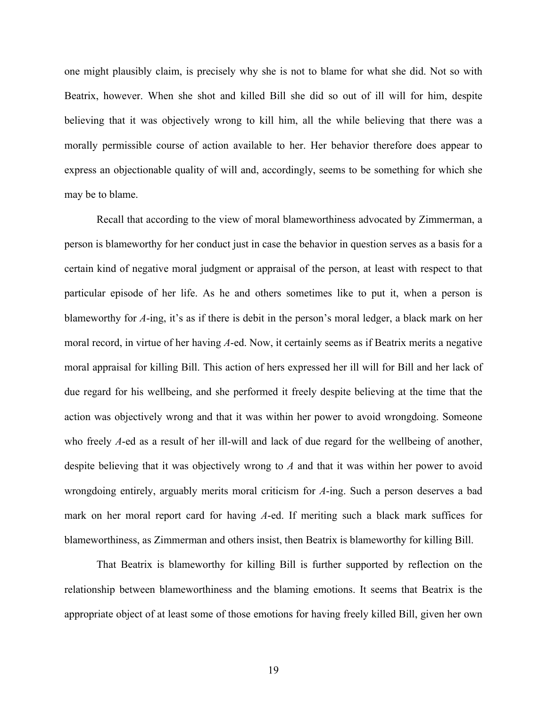one might plausibly claim, is precisely why she is not to blame for what she did. Not so with Beatrix, however. When she shot and killed Bill she did so out of ill will for him, despite believing that it was objectively wrong to kill him, all the while believing that there was a morally permissible course of action available to her. Her behavior therefore does appear to express an objectionable quality of will and, accordingly, seems to be something for which she may be to blame.

Recall that according to the view of moral blameworthiness advocated by Zimmerman, a person is blameworthy for her conduct just in case the behavior in question serves as a basis for a certain kind of negative moral judgment or appraisal of the person, at least with respect to that particular episode of her life. As he and others sometimes like to put it, when a person is blameworthy for *A*-ing, it's as if there is debit in the person's moral ledger, a black mark on her moral record, in virtue of her having *A*-ed. Now, it certainly seems as if Beatrix merits a negative moral appraisal for killing Bill. This action of hers expressed her ill will for Bill and her lack of due regard for his wellbeing, and she performed it freely despite believing at the time that the action was objectively wrong and that it was within her power to avoid wrongdoing. Someone who freely *A*-ed as a result of her ill-will and lack of due regard for the wellbeing of another, despite believing that it was objectively wrong to *A* and that it was within her power to avoid wrongdoing entirely, arguably merits moral criticism for *A*-ing. Such a person deserves a bad mark on her moral report card for having *A*-ed. If meriting such a black mark suffices for blameworthiness, as Zimmerman and others insist, then Beatrix is blameworthy for killing Bill.

That Beatrix is blameworthy for killing Bill is further supported by reflection on the relationship between blameworthiness and the blaming emotions. It seems that Beatrix is the appropriate object of at least some of those emotions for having freely killed Bill, given her own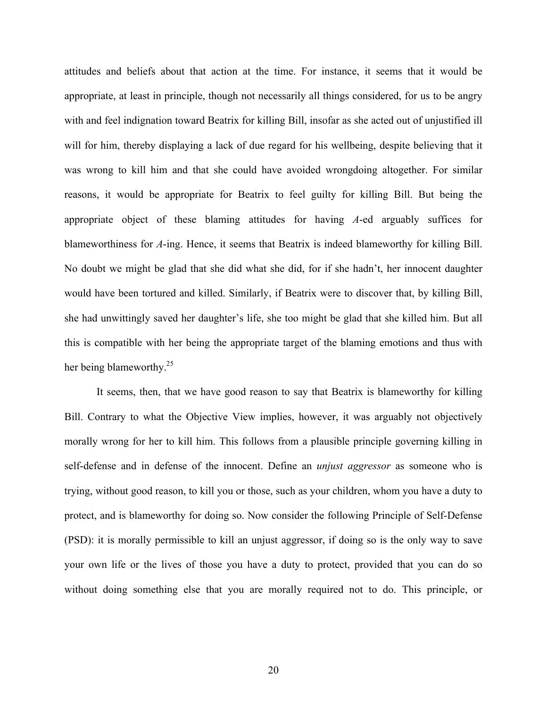attitudes and beliefs about that action at the time. For instance, it seems that it would be appropriate, at least in principle, though not necessarily all things considered, for us to be angry with and feel indignation toward Beatrix for killing Bill, insofar as she acted out of unjustified ill will for him, thereby displaying a lack of due regard for his wellbeing, despite believing that it was wrong to kill him and that she could have avoided wrongdoing altogether. For similar reasons, it would be appropriate for Beatrix to feel guilty for killing Bill. But being the appropriate object of these blaming attitudes for having *A*-ed arguably suffices for blameworthiness for *A*-ing. Hence, it seems that Beatrix is indeed blameworthy for killing Bill. No doubt we might be glad that she did what she did, for if she hadn't, her innocent daughter would have been tortured and killed. Similarly, if Beatrix were to discover that, by killing Bill, she had unwittingly saved her daughter's life, she too might be glad that she killed him. But all this is compatible with her being the appropriate target of the blaming emotions and thus with her being blameworthy.<sup>25</sup>

It seems, then, that we have good reason to say that Beatrix is blameworthy for killing Bill. Contrary to what the Objective View implies, however, it was arguably not objectively morally wrong for her to kill him. This follows from a plausible principle governing killing in self-defense and in defense of the innocent. Define an *unjust aggressor* as someone who is trying, without good reason, to kill you or those, such as your children, whom you have a duty to protect, and is blameworthy for doing so. Now consider the following Principle of Self-Defense (PSD): it is morally permissible to kill an unjust aggressor, if doing so is the only way to save your own life or the lives of those you have a duty to protect, provided that you can do so without doing something else that you are morally required not to do. This principle, or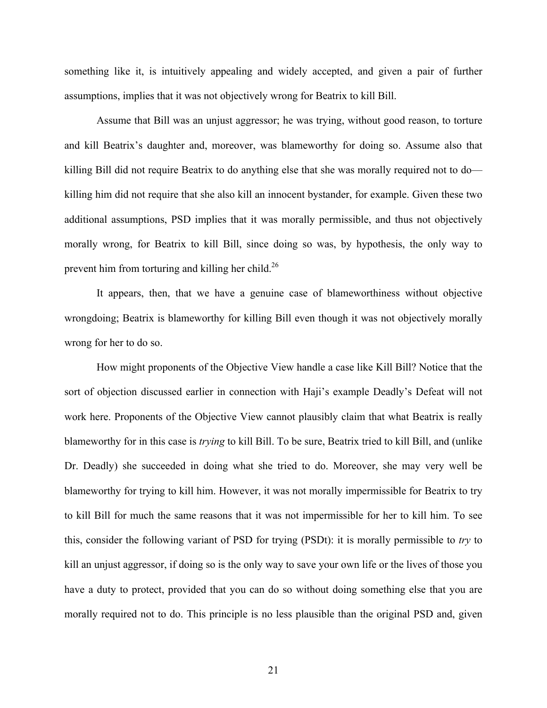something like it, is intuitively appealing and widely accepted, and given a pair of further assumptions, implies that it was not objectively wrong for Beatrix to kill Bill.

Assume that Bill was an unjust aggressor; he was trying, without good reason, to torture and kill Beatrix's daughter and, moreover, was blameworthy for doing so. Assume also that killing Bill did not require Beatrix to do anything else that she was morally required not to do killing him did not require that she also kill an innocent bystander, for example. Given these two additional assumptions, PSD implies that it was morally permissible, and thus not objectively morally wrong, for Beatrix to kill Bill, since doing so was, by hypothesis, the only way to prevent him from torturing and killing her child.<sup>26</sup>

It appears, then, that we have a genuine case of blameworthiness without objective wrongdoing; Beatrix is blameworthy for killing Bill even though it was not objectively morally wrong for her to do so.

How might proponents of the Objective View handle a case like Kill Bill? Notice that the sort of objection discussed earlier in connection with Haji's example Deadly's Defeat will not work here. Proponents of the Objective View cannot plausibly claim that what Beatrix is really blameworthy for in this case is *trying* to kill Bill. To be sure, Beatrix tried to kill Bill, and (unlike Dr. Deadly) she succeeded in doing what she tried to do. Moreover, she may very well be blameworthy for trying to kill him. However, it was not morally impermissible for Beatrix to try to kill Bill for much the same reasons that it was not impermissible for her to kill him. To see this, consider the following variant of PSD for trying (PSDt): it is morally permissible to *try* to kill an unjust aggressor, if doing so is the only way to save your own life or the lives of those you have a duty to protect, provided that you can do so without doing something else that you are morally required not to do. This principle is no less plausible than the original PSD and, given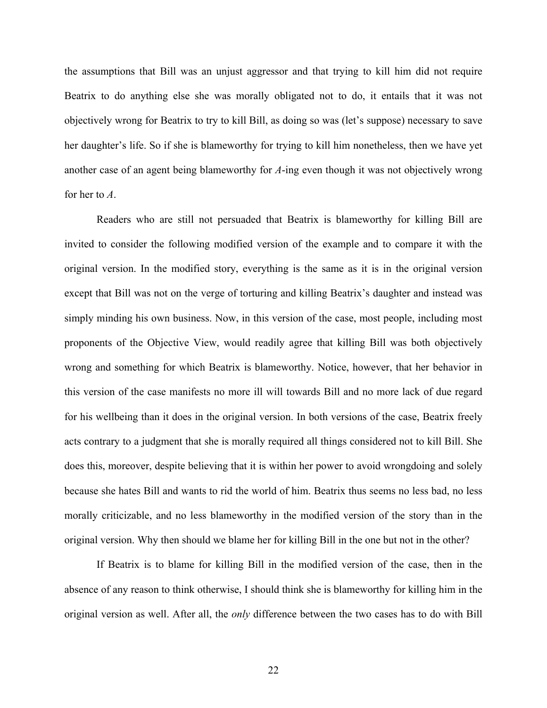the assumptions that Bill was an unjust aggressor and that trying to kill him did not require Beatrix to do anything else she was morally obligated not to do, it entails that it was not objectively wrong for Beatrix to try to kill Bill, as doing so was (let's suppose) necessary to save her daughter's life. So if she is blameworthy for trying to kill him nonetheless, then we have yet another case of an agent being blameworthy for *A*-ing even though it was not objectively wrong for her to *A*.

Readers who are still not persuaded that Beatrix is blameworthy for killing Bill are invited to consider the following modified version of the example and to compare it with the original version. In the modified story, everything is the same as it is in the original version except that Bill was not on the verge of torturing and killing Beatrix's daughter and instead was simply minding his own business. Now, in this version of the case, most people, including most proponents of the Objective View, would readily agree that killing Bill was both objectively wrong and something for which Beatrix is blameworthy. Notice, however, that her behavior in this version of the case manifests no more ill will towards Bill and no more lack of due regard for his wellbeing than it does in the original version. In both versions of the case, Beatrix freely acts contrary to a judgment that she is morally required all things considered not to kill Bill. She does this, moreover, despite believing that it is within her power to avoid wrongdoing and solely because she hates Bill and wants to rid the world of him. Beatrix thus seems no less bad, no less morally criticizable, and no less blameworthy in the modified version of the story than in the original version. Why then should we blame her for killing Bill in the one but not in the other?

If Beatrix is to blame for killing Bill in the modified version of the case, then in the absence of any reason to think otherwise, I should think she is blameworthy for killing him in the original version as well. After all, the *only* difference between the two cases has to do with Bill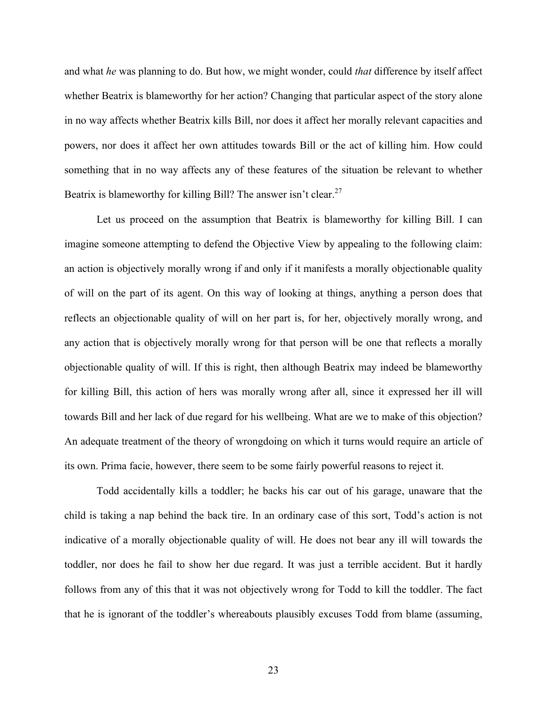and what *he* was planning to do. But how, we might wonder, could *that* difference by itself affect whether Beatrix is blameworthy for her action? Changing that particular aspect of the story alone in no way affects whether Beatrix kills Bill, nor does it affect her morally relevant capacities and powers, nor does it affect her own attitudes towards Bill or the act of killing him. How could something that in no way affects any of these features of the situation be relevant to whether Beatrix is blameworthy for killing Bill? The answer isn't clear.<sup>27</sup>

Let us proceed on the assumption that Beatrix is blameworthy for killing Bill. I can imagine someone attempting to defend the Objective View by appealing to the following claim: an action is objectively morally wrong if and only if it manifests a morally objectionable quality of will on the part of its agent. On this way of looking at things, anything a person does that reflects an objectionable quality of will on her part is, for her, objectively morally wrong, and any action that is objectively morally wrong for that person will be one that reflects a morally objectionable quality of will. If this is right, then although Beatrix may indeed be blameworthy for killing Bill, this action of hers was morally wrong after all, since it expressed her ill will towards Bill and her lack of due regard for his wellbeing. What are we to make of this objection? An adequate treatment of the theory of wrongdoing on which it turns would require an article of its own. Prima facie, however, there seem to be some fairly powerful reasons to reject it.

Todd accidentally kills a toddler; he backs his car out of his garage, unaware that the child is taking a nap behind the back tire. In an ordinary case of this sort, Todd's action is not indicative of a morally objectionable quality of will. He does not bear any ill will towards the toddler, nor does he fail to show her due regard. It was just a terrible accident. But it hardly follows from any of this that it was not objectively wrong for Todd to kill the toddler. The fact that he is ignorant of the toddler's whereabouts plausibly excuses Todd from blame (assuming,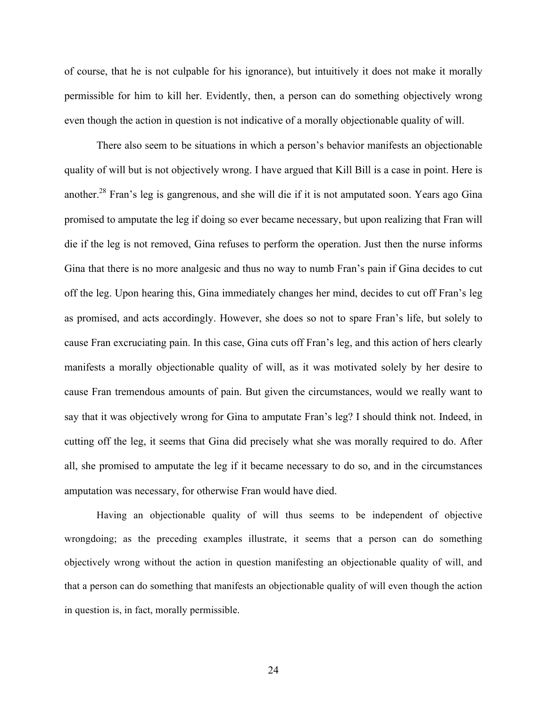of course, that he is not culpable for his ignorance), but intuitively it does not make it morally permissible for him to kill her. Evidently, then, a person can do something objectively wrong even though the action in question is not indicative of a morally objectionable quality of will.

There also seem to be situations in which a person's behavior manifests an objectionable quality of will but is not objectively wrong. I have argued that Kill Bill is a case in point. Here is another.28 Fran's leg is gangrenous, and she will die if it is not amputated soon. Years ago Gina promised to amputate the leg if doing so ever became necessary, but upon realizing that Fran will die if the leg is not removed, Gina refuses to perform the operation. Just then the nurse informs Gina that there is no more analgesic and thus no way to numb Fran's pain if Gina decides to cut off the leg. Upon hearing this, Gina immediately changes her mind, decides to cut off Fran's leg as promised, and acts accordingly. However, she does so not to spare Fran's life, but solely to cause Fran excruciating pain. In this case, Gina cuts off Fran's leg, and this action of hers clearly manifests a morally objectionable quality of will, as it was motivated solely by her desire to cause Fran tremendous amounts of pain. But given the circumstances, would we really want to say that it was objectively wrong for Gina to amputate Fran's leg? I should think not. Indeed, in cutting off the leg, it seems that Gina did precisely what she was morally required to do. After all, she promised to amputate the leg if it became necessary to do so, and in the circumstances amputation was necessary, for otherwise Fran would have died.

Having an objectionable quality of will thus seems to be independent of objective wrongdoing; as the preceding examples illustrate, it seems that a person can do something objectively wrong without the action in question manifesting an objectionable quality of will, and that a person can do something that manifests an objectionable quality of will even though the action in question is, in fact, morally permissible.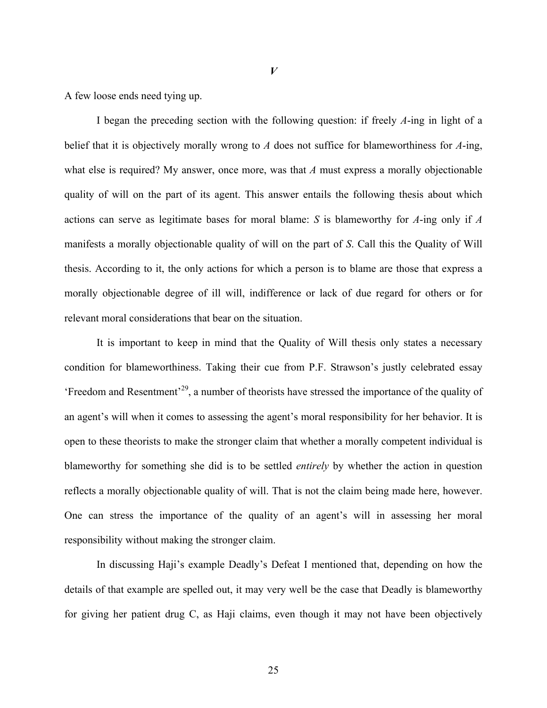A few loose ends need tying up.

I began the preceding section with the following question: if freely *A*-ing in light of a belief that it is objectively morally wrong to *A* does not suffice for blameworthiness for *A*-ing, what else is required? My answer, once more, was that *A* must express a morally objectionable quality of will on the part of its agent. This answer entails the following thesis about which actions can serve as legitimate bases for moral blame: *S* is blameworthy for *A*-ing only if *A* manifests a morally objectionable quality of will on the part of *S*. Call this the Quality of Will thesis. According to it, the only actions for which a person is to blame are those that express a morally objectionable degree of ill will, indifference or lack of due regard for others or for relevant moral considerations that bear on the situation.

It is important to keep in mind that the Quality of Will thesis only states a necessary condition for blameworthiness. Taking their cue from P.F. Strawson's justly celebrated essay 'Freedom and Resentment'29, a number of theorists have stressed the importance of the quality of an agent's will when it comes to assessing the agent's moral responsibility for her behavior. It is open to these theorists to make the stronger claim that whether a morally competent individual is blameworthy for something she did is to be settled *entirely* by whether the action in question reflects a morally objectionable quality of will. That is not the claim being made here, however. One can stress the importance of the quality of an agent's will in assessing her moral responsibility without making the stronger claim.

In discussing Haji's example Deadly's Defeat I mentioned that, depending on how the details of that example are spelled out, it may very well be the case that Deadly is blameworthy for giving her patient drug C, as Haji claims, even though it may not have been objectively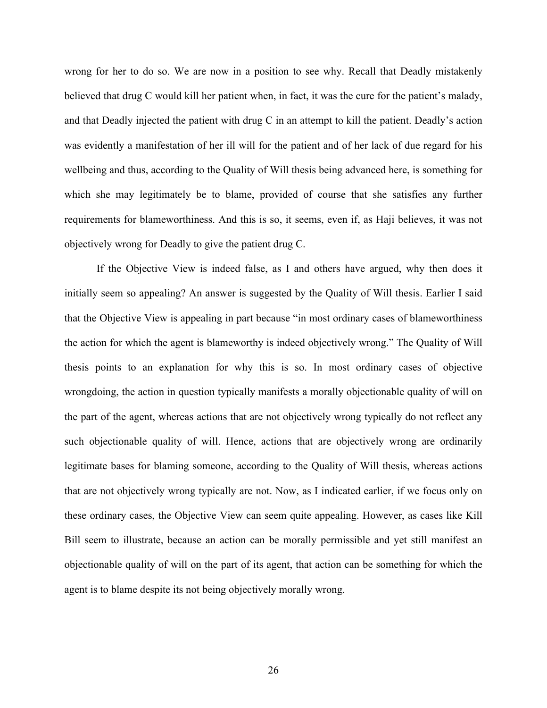wrong for her to do so. We are now in a position to see why. Recall that Deadly mistakenly believed that drug C would kill her patient when, in fact, it was the cure for the patient's malady, and that Deadly injected the patient with drug C in an attempt to kill the patient. Deadly's action was evidently a manifestation of her ill will for the patient and of her lack of due regard for his wellbeing and thus, according to the Quality of Will thesis being advanced here, is something for which she may legitimately be to blame, provided of course that she satisfies any further requirements for blameworthiness. And this is so, it seems, even if, as Haji believes, it was not objectively wrong for Deadly to give the patient drug C.

If the Objective View is indeed false, as I and others have argued, why then does it initially seem so appealing? An answer is suggested by the Quality of Will thesis. Earlier I said that the Objective View is appealing in part because "in most ordinary cases of blameworthiness the action for which the agent is blameworthy is indeed objectively wrong." The Quality of Will thesis points to an explanation for why this is so. In most ordinary cases of objective wrongdoing, the action in question typically manifests a morally objectionable quality of will on the part of the agent, whereas actions that are not objectively wrong typically do not reflect any such objectionable quality of will. Hence, actions that are objectively wrong are ordinarily legitimate bases for blaming someone, according to the Quality of Will thesis, whereas actions that are not objectively wrong typically are not. Now, as I indicated earlier, if we focus only on these ordinary cases, the Objective View can seem quite appealing. However, as cases like Kill Bill seem to illustrate, because an action can be morally permissible and yet still manifest an objectionable quality of will on the part of its agent, that action can be something for which the agent is to blame despite its not being objectively morally wrong.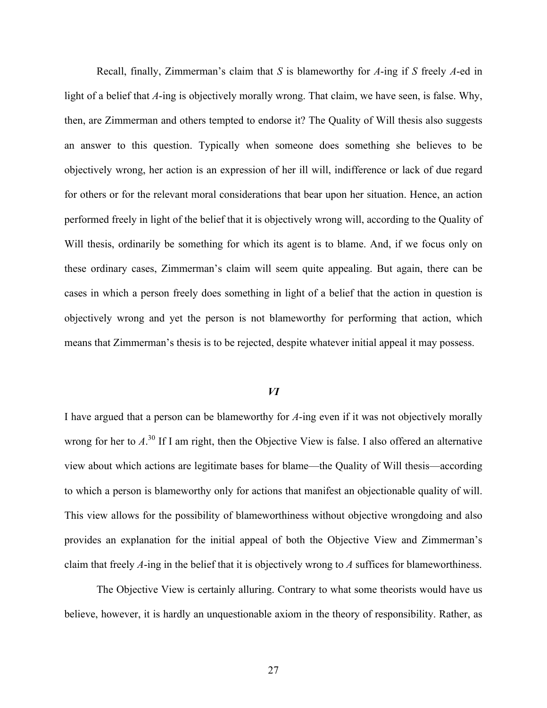Recall, finally, Zimmerman's claim that *S* is blameworthy for *A*-ing if *S* freely *A*-ed in light of a belief that *A*-ing is objectively morally wrong. That claim, we have seen, is false. Why, then, are Zimmerman and others tempted to endorse it? The Quality of Will thesis also suggests an answer to this question. Typically when someone does something she believes to be objectively wrong, her action is an expression of her ill will, indifference or lack of due regard for others or for the relevant moral considerations that bear upon her situation. Hence, an action performed freely in light of the belief that it is objectively wrong will, according to the Quality of Will thesis, ordinarily be something for which its agent is to blame. And, if we focus only on these ordinary cases, Zimmerman's claim will seem quite appealing. But again, there can be cases in which a person freely does something in light of a belief that the action in question is objectively wrong and yet the person is not blameworthy for performing that action, which means that Zimmerman's thesis is to be rejected, despite whatever initial appeal it may possess.

### *VI*

I have argued that a person can be blameworthy for *A*-ing even if it was not objectively morally wrong for her to  $A^{30}$  If I am right, then the Objective View is false. I also offered an alternative view about which actions are legitimate bases for blame—the Quality of Will thesis—according to which a person is blameworthy only for actions that manifest an objectionable quality of will. This view allows for the possibility of blameworthiness without objective wrongdoing and also provides an explanation for the initial appeal of both the Objective View and Zimmerman's claim that freely *A*-ing in the belief that it is objectively wrong to *A* suffices for blameworthiness.

The Objective View is certainly alluring. Contrary to what some theorists would have us believe, however, it is hardly an unquestionable axiom in the theory of responsibility. Rather, as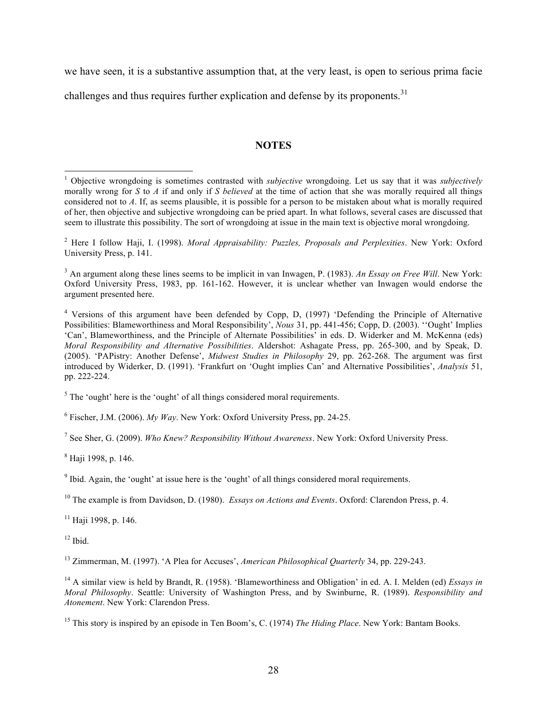we have seen, it is a substantive assumption that, at the very least, is open to serious prima facie

challenges and thus requires further explication and defense by its proponents.<sup>31</sup>

### **NOTES**

<sup>5</sup> The 'ought' here is the 'ought' of all things considered moral requirements.

<sup>6</sup> Fischer, J.M. (2006). *My Way*. New York: Oxford University Press, pp. 24-25.

<sup>7</sup> See Sher, G. (2009). *Who Knew? Responsibility Without Awareness*. New York: Oxford University Press.

<sup>8</sup> Haji 1998, p. 146.

 $9$  Ibid. Again, the 'ought' at issue here is the 'ought' of all things considered moral requirements.

<sup>10</sup> The example is from Davidson, D. (1980). *Essays on Actions and Events*. Oxford: Clarendon Press, p. 4.

 $11$  Haji 1998, p. 146.

 $12$  Ibid.

<sup>13</sup> Zimmerman, M. (1997). 'A Plea for Accuses', *American Philosophical Quarterly* 34, pp. 229-243.

<sup>14</sup> A similar view is held by Brandt, R. (1958). 'Blameworthiness and Obligation' in ed. A. I. Melden (ed) *Essays in Moral Philosophy*. Seattle: University of Washington Press, and by Swinburne, R. (1989). *Responsibility and Atonement*. New York: Clarendon Press.

<sup>15</sup> This story is inspired by an episode in Ten Boom's, C. (1974) *The Hiding Place*. New York: Bantam Books.

 <sup>1</sup> Objective wrongdoing is sometimes contrasted with *subjective* wrongdoing. Let us say that it was *subjectively* morally wrong for *S* to *A* if and only if *S believed* at the time of action that she was morally required all things considered not to *A*. If, as seems plausible, it is possible for a person to be mistaken about what is morally required of her, then objective and subjective wrongdoing can be pried apart. In what follows, several cases are discussed that seem to illustrate this possibility. The sort of wrongdoing at issue in the main text is objective moral wrongdoing.

<sup>2</sup> Here I follow Haji, I. (1998). *Moral Appraisability: Puzzles, Proposals and Perplexities*. New York: Oxford University Press, p. 141.

<sup>&</sup>lt;sup>3</sup> An argument along these lines seems to be implicit in van Inwagen, P. (1983). *An Essay on Free Will*. New York: Oxford University Press, 1983, pp. 161-162. However, it is unclear whether van Inwagen would endorse the argument presented here.

<sup>4</sup> Versions of this argument have been defended by Copp, D, (1997) 'Defending the Principle of Alternative Possibilities: Blameworthiness and Moral Responsibility', *Nous* 31, pp. 441-456; Copp, D. (2003). ''Ought' Implies 'Can', Blameworthiness, and the Principle of Alternate Possibilities' in eds. D. Widerker and M. McKenna (eds) *Moral Responsibility and Alternative Possibilities*. Aldershot: Ashagate Press, pp. 265-300, and by Speak, D. (2005). 'PAPistry: Another Defense', *Midwest Studies in Philosophy* 29, pp. 262-268. The argument was first introduced by Widerker, D. (1991). 'Frankfurt on 'Ought implies Can' and Alternative Possibilities', *Analysis* 51, pp. 222-224.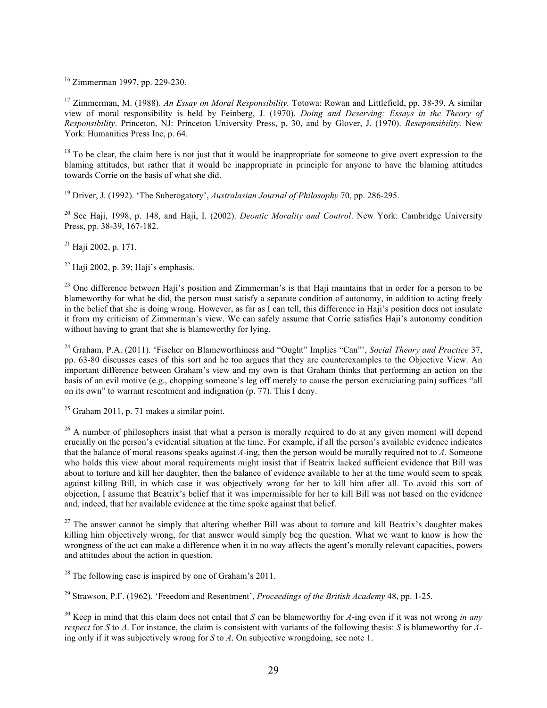16 Zimmerman 1997, pp. 229-230.

<sup>17</sup> Zimmerman, M. (1988). *An Essay on Moral Responsibility.* Totowa: Rowan and Littlefield, pp. 38-39. A similar view of moral responsibility is held by Feinberg, J. (1970). *Doing and Deserving: Essays in the Theory of Responsibility*. Princeton, NJ: Princeton University Press, p. 30, and by Glover, J. (1970). *Reseponsibility.* New York: Humanities Press Inc, p. 64.

 $18$  To be clear, the claim here is not just that it would be inappropriate for someone to give overt expression to the blaming attitudes, but rather that it would be inappropriate in principle for anyone to have the blaming attitudes towards Corrie on the basis of what she did.

<sup>19</sup> Driver, J. (1992). 'The Suberogatory', *Australasian Journal of Philosophy* 70, pp. 286-295.

<sup>20</sup> See Haji, 1998, p. 148, and Haji, I. (2002). *Deontic Morality and Control*. New York: Cambridge University Press, pp. 38-39, 167-182.

<sup>21</sup> Haji 2002, p. 171.

 $22$  Haji 2002, p. 39; Haji's emphasis.

<sup>23</sup> One difference between Haji's position and Zimmerman's is that Haji maintains that in order for a person to be blameworthy for what he did, the person must satisfy a separate condition of autonomy, in addition to acting freely in the belief that she is doing wrong. However, as far as I can tell, this difference in Haji's position does not insulate it from my criticism of Zimmerman's view. We can safely assume that Corrie satisfies Haji's autonomy condition without having to grant that she is blameworthy for lying.

<sup>24</sup> Graham, P.A. (2011). 'Fischer on Blameworthiness and "Ought" Implies "Can"', *Social Theory and Practice* 37, pp. 63-80 discusses cases of this sort and he too argues that they are counterexamples to the Objective View. An important difference between Graham's view and my own is that Graham thinks that performing an action on the basis of an evil motive (e.g., chopping someone's leg off merely to cause the person excruciating pain) suffices "all on its own" to warrant resentment and indignation (p. 77). This I deny.

 $25$  Graham 2011, p. 71 makes a similar point.

 $26$  A number of philosophers insist that what a person is morally required to do at any given moment will depend crucially on the person's evidential situation at the time. For example, if all the person's available evidence indicates that the balance of moral reasons speaks against *A*-ing, then the person would be morally required not to *A*. Someone who holds this view about moral requirements might insist that if Beatrix lacked sufficient evidence that Bill was about to torture and kill her daughter, then the balance of evidence available to her at the time would seem to speak against killing Bill, in which case it was objectively wrong for her to kill him after all. To avoid this sort of objection, I assume that Beatrix's belief that it was impermissible for her to kill Bill was not based on the evidence and, indeed, that her available evidence at the time spoke against that belief.

 $27$  The answer cannot be simply that altering whether Bill was about to torture and kill Beatrix's daughter makes killing him objectively wrong, for that answer would simply beg the question. What we want to know is how the wrongness of the act can make a difference when it in no way affects the agent's morally relevant capacities, powers and attitudes about the action in question.

<sup>28</sup> The following case is inspired by one of Graham's 2011.

<sup>29</sup> Strawson, P.F. (1962). 'Freedom and Resentment', *Proceedings of the British Academy* 48, pp. 1-25.

<sup>30</sup> Keep in mind that this claim does not entail that *S* can be blameworthy for *A*-ing even if it was not wrong *in any respect* for *S* to *A*. For instance, the claim is consistent with variants of the following thesis: *S* is blameworthy for *A*ing only if it was subjectively wrong for *S* to *A*. On subjective wrongdoing, see note 1.